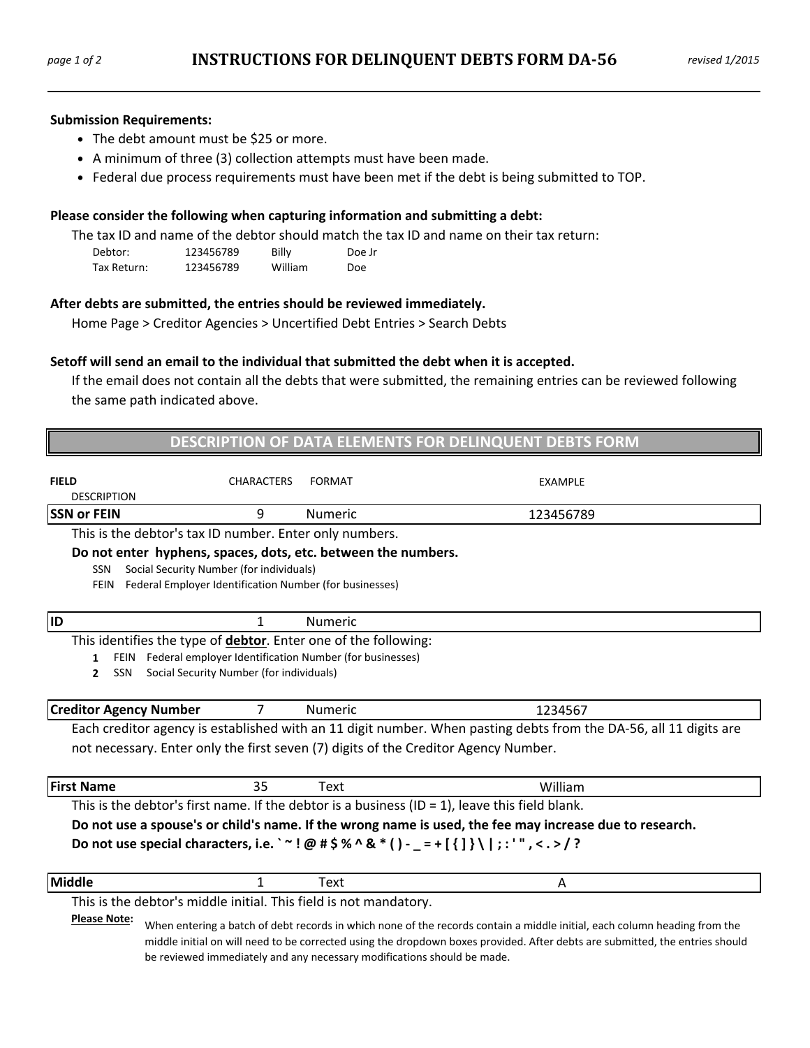#### **Submission Requirements:**

- The debt amount must be \$25 or more.
- A minimum of three (3) collection attempts must have been made.
- Federal due process requirements must have been met if the debt is being submitted to TOP.

#### **Please consider the following when capturing information and submitting a debt:**

The tax ID and name of the debtor should match the tax ID and name on their tax return:

| Debtor:     | 123456789 | Billy   | Doe Jr     |
|-------------|-----------|---------|------------|
| Tax Return: | 123456789 | William | <b>Doe</b> |

## **After debts are submitted, the entries should be reviewed immediately.**

Home Page > Creditor Agencies > Uncertified Debt Entries > Search Debts

## **Setoff will send an email to the individual that submitted the debt when it is accepted.**

If the email does not contain all the debts that were submitted, the remaining entries can be reviewed following the same path indicated above.

| DESCRIPTION OF DATA ELEMENTS FOR DELINQUENT DEBTS FORM                                                                                                                                                     |                                                                                                                                                                             |                |                                                                                                                                                                                                                                                           |  |  |
|------------------------------------------------------------------------------------------------------------------------------------------------------------------------------------------------------------|-----------------------------------------------------------------------------------------------------------------------------------------------------------------------------|----------------|-----------------------------------------------------------------------------------------------------------------------------------------------------------------------------------------------------------------------------------------------------------|--|--|
| <b>FIELD</b><br><b>DESCRIPTION</b>                                                                                                                                                                         | <b>CHARACTERS</b>                                                                                                                                                           | <b>FORMAT</b>  | EXAMPLE                                                                                                                                                                                                                                                   |  |  |
| <b>SSN or FEIN</b>                                                                                                                                                                                         | 9                                                                                                                                                                           | <b>Numeric</b> | 123456789                                                                                                                                                                                                                                                 |  |  |
|                                                                                                                                                                                                            | This is the debtor's tax ID number. Enter only numbers.                                                                                                                     |                |                                                                                                                                                                                                                                                           |  |  |
| <b>SSN</b><br><b>FEIN</b>                                                                                                                                                                                  | Do not enter hyphens, spaces, dots, etc. between the numbers.<br>Social Security Number (for individuals)<br>Federal Employer Identification Number (for businesses)        |                |                                                                                                                                                                                                                                                           |  |  |
| <b>ID</b>                                                                                                                                                                                                  | 1                                                                                                                                                                           | <b>Numeric</b> |                                                                                                                                                                                                                                                           |  |  |
| 1<br>SSN<br>$\mathbf{2}$                                                                                                                                                                                   | This identifies the type of debtor. Enter one of the following:<br>FEIN Federal employer Identification Number (for businesses)<br>Social Security Number (for individuals) |                |                                                                                                                                                                                                                                                           |  |  |
| <b>Creditor Agency Number</b>                                                                                                                                                                              | 7                                                                                                                                                                           | <b>Numeric</b> | 1234567                                                                                                                                                                                                                                                   |  |  |
|                                                                                                                                                                                                            |                                                                                                                                                                             |                | Each creditor agency is established with an 11 digit number. When pasting debts from the DA-56, all 11 digits are<br>not necessary. Enter only the first seven (7) digits of the Creditor Agency Number.                                                  |  |  |
| <b>First Name</b>                                                                                                                                                                                          | 35                                                                                                                                                                          | <b>Text</b>    | William                                                                                                                                                                                                                                                   |  |  |
|                                                                                                                                                                                                            |                                                                                                                                                                             |                | This is the debtor's first name. If the debtor is a business (ID = $1$ ), leave this field blank.                                                                                                                                                         |  |  |
| Do not use a spouse's or child's name. If the wrong name is used, the fee may increase due to research.<br>Do not use special characters, i.e. ` ~! @ # \$ % ^ & * () - _ = + [{] } \   ; : ' ", < . > / ? |                                                                                                                                                                             |                |                                                                                                                                                                                                                                                           |  |  |
| Middle                                                                                                                                                                                                     | $\mathbf{1}$                                                                                                                                                                | Text           | A                                                                                                                                                                                                                                                         |  |  |
| <b>Please Note:</b>                                                                                                                                                                                        | This is the debtor's middle initial. This field is not mandatory.<br>be reviewed immediately and any necessary modifications should be made.                                |                | When entering a batch of debt records in which none of the records contain a middle initial, each column heading from the<br>middle initial on will need to be corrected using the dropdown boxes provided. After debts are submitted, the entries should |  |  |